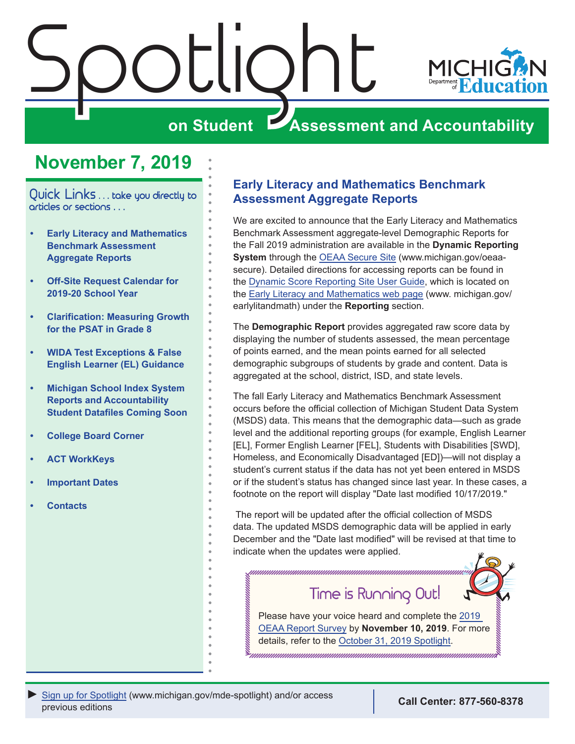<span id="page-0-0"></span>

# **November 7, 2019**

Quick Links . . . take you directly to articles or sections . . .

- **• Early Literacy and Mathematics Benchmark Assessment Aggregate Reports**
- **• [Off-Site Request Calendar for](#page-1-0)  [2019-20 School Year](#page-1-0)**
- **• [Clarification: Measuring Growth](#page-1-0)  [for the PSAT in Grade 8](#page-1-0)**
- **• [WIDA Test Exceptions & False](#page-1-0)  [English Learner \(EL\) Guidance](#page-1-0)**
- **• [Michigan School Index System](#page-2-0)  [Reports and Accountability](#page-2-0)  [Student Datafiles Coming Soon](#page-2-0)**
- **• [College Board Corner](#page-3-0)**
- **• [ACT WorkKeys](#page-5-0)**
- **• [Important Dates](#page-7-0)**
- **• [Contacts](#page-8-0)**

## **Early Literacy and Mathematics Benchmark Assessment Aggregate Reports**

We are excited to announce that the Early Literacy and Mathematics Benchmark Assessment aggregate-level Demographic Reports for the Fall 2019 administration are available in the **Dynamic Reporting System** through the [OEAA Secure Site](http://www.michigan.gov/oeaa-secure) (www.michigan.gov/oeaasecure). Detailed directions for accessing reports can be found in the [Dynamic Score Reporting Site User Guide](https://www.michigan.gov/documents/mde/How_to_Navigate_Dynamic_Score_Reports_532306_7.pdf), which is located on the [Early Literacy and Mathematics web page](www.michigan.gov/earlylitandmath) (www. michigan.gov/ earlylitandmath) under the **Reporting** section.

The **Demographic Report** provides aggregated raw score data by displaying the number of students assessed, the mean percentage of points earned, and the mean points earned for all selected demographic subgroups of students by grade and content. Data is aggregated at the school, district, ISD, and state levels.

The fall Early Literacy and Mathematics Benchmark Assessment occurs before the official collection of Michigan Student Data System (MSDS) data. This means that the demographic data—such as grade level and the additional reporting groups (for example, English Learner [EL], Former English Learner [FEL], Students with Disabilities [SWD], Homeless, and Economically Disadvantaged [ED])—will not display a student's current status if the data has not yet been entered in MSDS or if the student's status has changed since last year. In these cases, a footnote on the report will display "Date last modified 10/17/2019."

 The report will be updated after the official collection of MSDS data. The updated MSDS demographic data will be applied in early December and the "Date last modified" will be revised at that time to indicate when the updates were applied.

Time is Running Out!

Please have your voice heard and complete the [2019](https://baameap.wufoo.com/forms/zw5ldve1blu50a/)  [OEAA Report Survey](https://baameap.wufoo.com/forms/zw5ldve1blu50a/) by **November 10, 2019**. For more details, refer to the [October 31, 2019 Spotlight.](https://www.michigan.gov/mde/0,4615,7-140-22709_70117-280911--,00.html)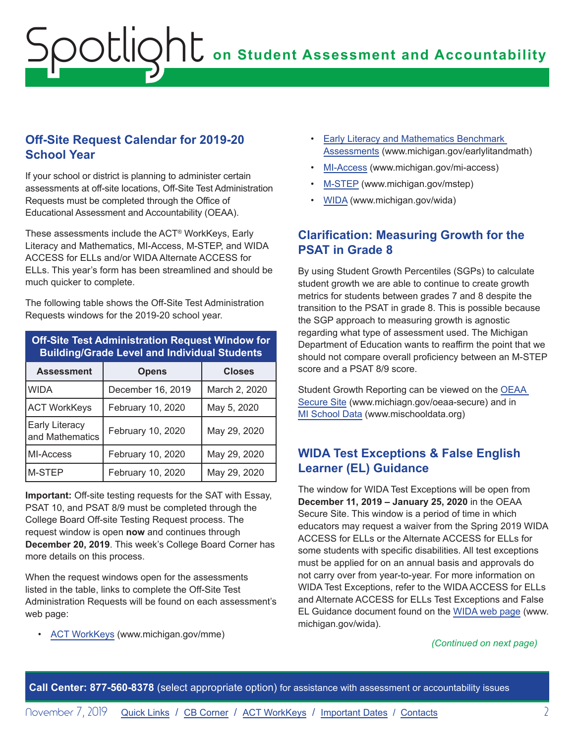# <span id="page-1-0"></span>**on Student Assessment and Accountability** Spotlight

### **Off-Site Request Calendar for 2019-20 School Year**

If your school or district is planning to administer certain assessments at off-site locations, Off-Site Test Administration Requests must be completed through the Office of Educational Assessment and Accountability (OEAA).

These assessments include the ACT® WorkKeys, Early Literacy and Mathematics, MI-Access, M-STEP, and WIDA ACCESS for ELLs and/or WIDA Alternate ACCESS for ELLs. This year's form has been streamlined and should be much quicker to complete.

The following table shows the Off-Site Test Administration Requests windows for the 2019-20 school year.

| <b>Off-Site Test Administration Request Window for</b><br><b>Building/Grade Level and Individual Students</b> |                   |               |
|---------------------------------------------------------------------------------------------------------------|-------------------|---------------|
| <b>Assessment</b>                                                                                             | <b>Opens</b>      | <b>Closes</b> |
| <b>WIDA</b>                                                                                                   | December 16, 2019 | March 2, 2020 |
| <b>ACT WorkKeys</b>                                                                                           | February 10, 2020 | May 5, 2020   |
| <b>Early Literacy</b><br>and Mathematics                                                                      | February 10, 2020 | May 29, 2020  |
| MI-Access                                                                                                     | February 10, 2020 | May 29, 2020  |
| M-STEP                                                                                                        | February 10, 2020 | May 29, 2020  |

**Important:** Off-site testing requests for the SAT with Essay, PSAT 10, and PSAT 8/9 must be completed through the College Board Off-site Testing Request process. The request window is open **now** and continues through **December 20, 2019**. This week's College Board Corner has more details on this process.

When the request windows open for the assessments listed in the table, links to complete the Off-Site Test Administration Requests will be found on each assessment's web page:

• [ACT WorkKeys](www.michigan.gov/mme) (www.michigan.gov/mme)

- [Early Literacy and Mathematics Benchmark](www.michigan.gov/earlylitandmath)  [Assessments](www.michigan.gov/earlylitandmath) (www.michigan.gov/earlylitandmath)
- [MI-Access](http://www.michigan.gov/mi-access) (www.michigan.gov/mi-access)
- [M-STEP](www.michigan.gov/mstep) (www.michigan.gov/mstep)
- [WIDA](www.michigan.gov/wida) (www.michigan.gov/wida)

### **Clarification: Measuring Growth for the PSAT in Grade 8**

By using Student Growth Percentiles (SGPs) to calculate student growth we are able to continue to create growth metrics for students between grades 7 and 8 despite the transition to the PSAT in grade 8. This is possible because the SGP approach to measuring growth is agnostic regarding what type of assessment used. The Michigan Department of Education wants to reaffirm the point that we should not compare overall proficiency between an M-STEP score and a PSAT 8/9 score.

Student Growth Reporting can be viewed on the [OEAA](http://www.michigan.gov/oeaa-secure)  [Secure Site](http://www.michigan.gov/oeaa-secure) (www.michiagn.gov/oeaa-secure) and in [MI School Data](http://www.mischooldata.org) (www.mischooldata.org)

## **WIDA Test Exceptions & False English Learner (EL) Guidance**

The window for WIDA Test Exceptions will be open from **December 11, 2019 – January 25, 2020** in the OEAA Secure Site. This window is a period of time in which educators may request a waiver from the Spring 2019 WIDA ACCESS for ELLs or the Alternate ACCESS for ELLs for some students with specific disabilities. All test exceptions must be applied for on an annual basis and approvals do not carry over from year-to-year. For more information on WIDA Test Exceptions, refer to the WIDA ACCESS for ELLs and Alternate ACCESS for ELLs Test Exceptions and False EL Guidance document found on the [WIDA web page](www.michigan.gov/wida) (www. michigan.gov/wida).

#### *(Continued on next page)*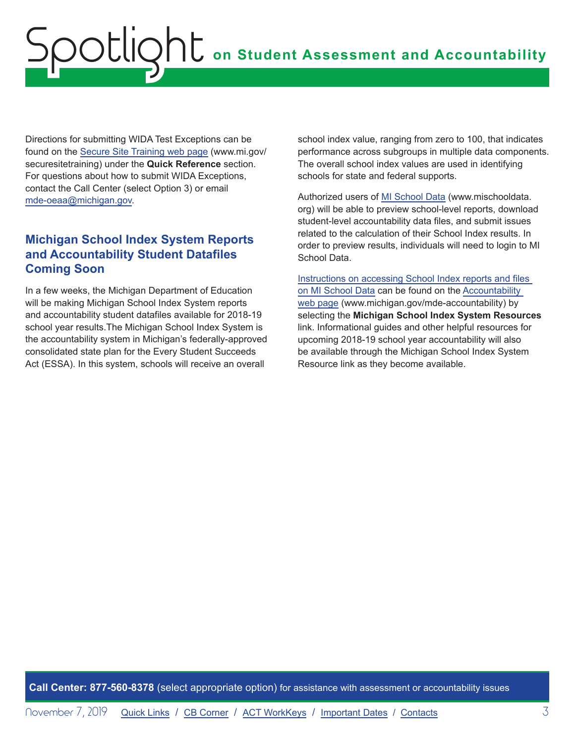# <span id="page-2-0"></span>**on Student Assessment and Accountability** otlic

Directions for submitting WIDA Test Exceptions can be found on the [Secure Site Training web page](http://www.michigan.gov/securesitetraining) (www.mi.gov/ securesitetraining) under the **Quick Reference** section. For questions about how to submit WIDA Exceptions, contact the Call Center (select Option 3) or email [mde-oeaa@michigan.gov](mailto:mde-oeaa%40michigan.gov?subject=).

## **Michigan School Index System Reports and Accountability Student Datafiles Coming Soon**

In a few weeks, the Michigan Department of Education will be making Michigan School Index System reports and accountability student datafiles available for 2018-19 school year results.The Michigan School Index System is the accountability system in Michigan's federally-approved consolidated state plan for the Every Student Succeeds Act (ESSA). In this system, schools will receive an overall

school index value, ranging from zero to 100, that indicates performance across subgroups in multiple data components. The overall school index values are used in identifying schools for state and federal supports.

Authorized users of [MI School Data](http://www.mischooldata.org) (www.mischooldata. org) will be able to preview school-level reports, download student-level accountability data files, and submit issues related to the calculation of their School Index results. In order to preview results, individuals will need to login to MI School Data.

[Instructions on accessing School Index reports and files](https://www.michigan.gov/documents/mde/Accountability_Access_and_Download_Instructions_645324_7.pdf.)  [on MI School Data](https://www.michigan.gov/documents/mde/Accountability_Access_and_Download_Instructions_645324_7.pdf.) can be found on the [Accountability](http://www.mi.gov/mde-accountability)  [web page](http://www.mi.gov/mde-accountability) (www.michigan.gov/mde-accountability) by selecting the **Michigan School Index System Resources** link. Informational guides and other helpful resources for upcoming 2018-19 school year accountability will also be available through the Michigan School Index System Resource link as they become available.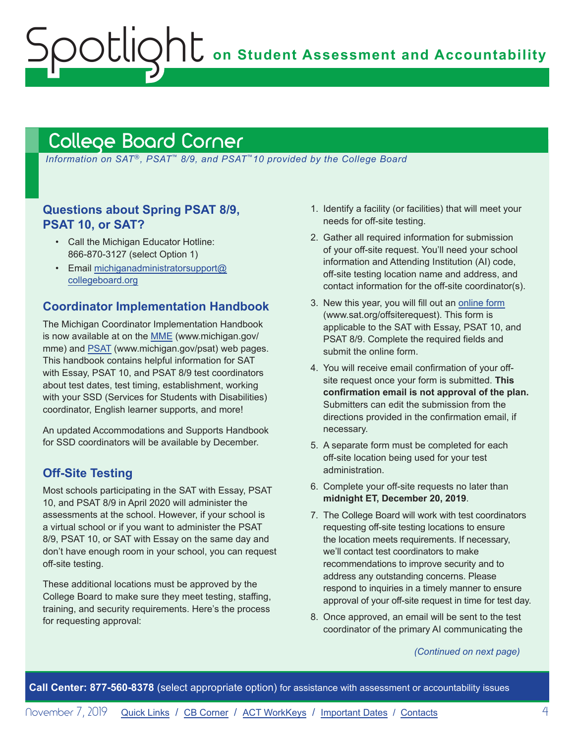**on Student Assessment and Accountability**

# <span id="page-3-1"></span>College Board Corner

<span id="page-3-0"></span>Spotlight

*Information on SAT*®*, PSAT*™ *8/9, and PSAT*™*10 provided by the College Board*

### **Questions about Spring PSAT 8/9, PSAT 10, or SAT?**

- Call the Michigan Educator Hotline: 866-870-3127 (select Option 1)
- Email [michiganadministratorsupport@](mailto:michiganadministratorsupport%40collegeboard.org?subject=) [collegeboard.org](mailto:michiganadministratorsupport%40collegeboard.org?subject=)

#### **Coordinator Implementation Handbook**

The Michigan Coordinator Implementation Handbook is now available at on the [MME](www.michigan.gov/mme) (www.michigan.gov/ mme) and [PSAT](http://www.michigan.gov/psat) (www.michigan.gov/psat) web pages. This handbook contains helpful information for SAT with Essay, PSAT 10, and PSAT 8/9 test coordinators about test dates, test timing, establishment, working with your SSD (Services for Students with Disabilities) coordinator, English learner supports, and more!

An updated Accommodations and Supports Handbook for SSD coordinators will be available by December.

#### **Off-Site Testing**

Most schools participating in the SAT with Essay, PSAT 10, and PSAT 8/9 in April 2020 will administer the assessments at the school. However, if your school is a virtual school or if you want to administer the PSAT 8/9, PSAT 10, or SAT with Essay on the same day and don't have enough room in your school, you can request off-site testing.

These additional locations must be approved by the College Board to make sure they meet testing, staffing, training, and security requirements. Here's the process for requesting approval:

- 1. Identify a facility (or facilities) that will meet your needs for off-site testing.
- 2. Gather all required information for submission of your off-site request. You'll need your school information and Attending Institution (AI) code, off-site testing location name and address, and contact information for the off-site coordinator(s).
- 3. New this year, you will fill out an [online form](http://www.sat.org/offsiterequest) (www.sat.org/offsiterequest). This form is applicable to the SAT with Essay, PSAT 10, and PSAT 8/9. Complete the required fields and submit the online form.
- 4. You will receive email confirmation of your offsite request once your form is submitted. **This confirmation email is not approval of the plan.** Submitters can edit the submission from the directions provided in the confirmation email, if necessary.
- 5. A separate form must be completed for each off-site location being used for your test administration.
- 6. Complete your off-site requests no later than **midnight ET, December 20, 2019**.
- 7. The College Board will work with test coordinators requesting off-site testing locations to ensure the location meets requirements. If necessary, we'll contact test coordinators to make recommendations to improve security and to address any outstanding concerns. Please respond to inquiries in a timely manner to ensure approval of your off-site request in time for test day.
- 8. Once approved, an email will be sent to the test coordinator of the primary AI communicating the

*(Continued on next page)*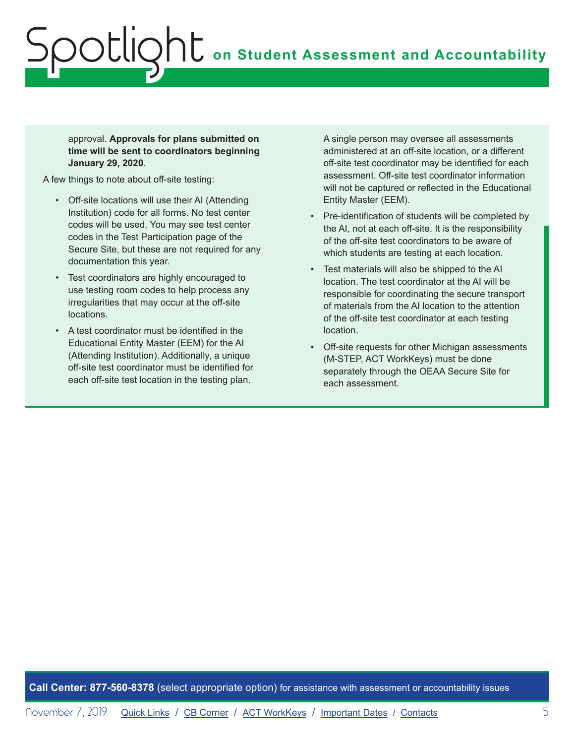approval. **Approvals for plans submitted on time will be sent to coordinators beginning January 29, 2020**.

A few things to note about off-site testing:

- Off-site locations will use their AI (Attending Institution) code for all forms. No test center codes will be used. You may see test center codes in the Test Participation page of the Secure Site, but these are not required for any documentation this year.
- Test coordinators are highly encouraged to use testing room codes to help process any irregularities that may occur at the off-site locations.
- A test coordinator must be identified in the Educational Entity Master (EEM) for the AI (Attending Institution). Additionally, a unique off-site test coordinator must be identified for each off-site test location in the testing plan.

A single person may oversee all assessments administered at an off-site location, or a different off-site test coordinator may be identified for each assessment. Off-site test coordinator information will not be captured or reflected in the Educational Entity Master (EEM).

- Pre-identification of students will be completed by the AI, not at each off-site. It is the responsibility of the off-site test coordinators to be aware of which students are testing at each location.
- Test materials will also be shipped to the AI location. The test coordinator at the AI will be responsible for coordinating the secure transport of materials from the AI location to the attention of the off-site test coordinator at each testing location.
- Off-site requests for other Michigan assessments (M-STEP, ACT WorkKeys) must be done separately through the OEAA Secure Site for each assessment.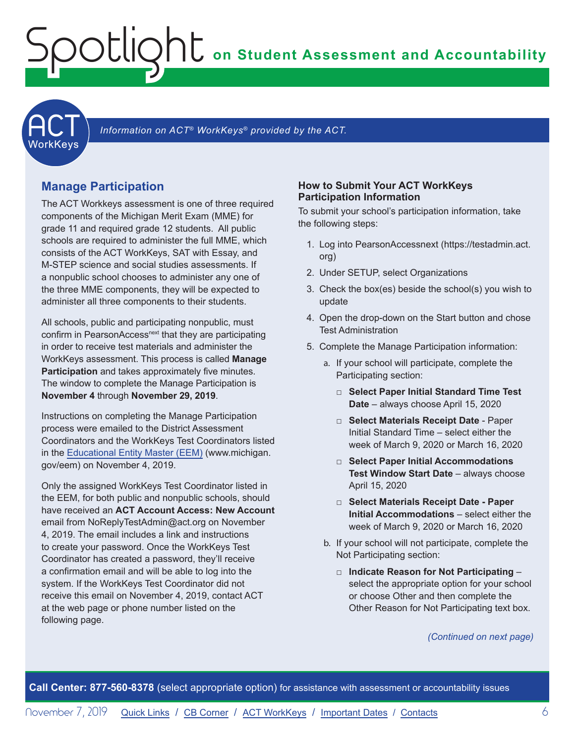# **on Student Assessment and Accountability**

**ACT** 

Information on ACT<sup>®</sup> WorkKeys<sup>®</sup> provided by the ACT.

#### **Manage Participation**

<span id="page-5-0"></span>Spotlight

The ACT Workkeys assessment is one of three required components of the Michigan Merit Exam (MME) for grade 11 and required grade 12 students. All public schools are required to administer the full MME, which consists of the ACT WorkKeys, SAT with Essay, and M-STEP science and social studies assessments. If a nonpublic school chooses to administer any one of the three MME components, they will be expected to administer all three components to their students.

All schools, public and participating nonpublic, must confirm in PearsonAccess<sup>next</sup> that they are participating in order to receive test materials and administer the WorkKeys assessment. This process is called **Manage Participation** and takes approximately five minutes. The window to complete the Manage Participation is **November 4** through **November 29, 2019**.

Instructions on completing the Manage Participation process were emailed to the District Assessment Coordinators and the WorkKeys Test Coordinators listed in the [Educational Entity Master \(EEM\)](www.michigan.gov/EEM) (www.michigan. gov/eem) on November 4, 2019.

Only the assigned WorkKeys Test Coordinator listed in the EEM, for both public and nonpublic schools, should have received an **ACT Account Access: New Account** email from NoReplyTestAdmin@act.org on November 4, 2019. The email includes a link and instructions to create your password. Once the WorkKeys Test Coordinator has created a password, they'll receive a confirmation email and will be able to log into the system. If the WorkKeys Test Coordinator did not receive this email on November 4, 2019, contact ACT at the web page or phone number listed on the following page.

#### **How to Submit Your ACT WorkKeys Participation Information**

To submit your school's participation information, take the following steps:

- 1. Log into PearsonAccessnext (https://testadmin.act. org)
- 2. Under SETUP, select Organizations
- 3. Check the box(es) beside the school(s) you wish to update
- 4. Open the drop-down on the Start button and chose Test Administration
- 5. Complete the Manage Participation information:
	- a. If your school will participate, complete the Participating section:
		- □ **Select Paper Initial Standard Time Test Date** – always choose April 15, 2020
		- □ **Select Materials Receipt Date** Paper Initial Standard Time – select either the week of March 9, 2020 or March 16, 2020
		- □ **Select Paper Initial Accommodations Test Window Start Date** – always choose April 15, 2020
		- □ **Select Materials Receipt Date Paper Initial Accommodations** – select either the week of March 9, 2020 or March 16, 2020
	- b. If your school will not participate, complete the Not Participating section:
		- □ **Indicate Reason for Not Participating**  select the appropriate option for your school or choose Other and then complete the Other Reason for Not Participating text box.

*(Continued on next page)*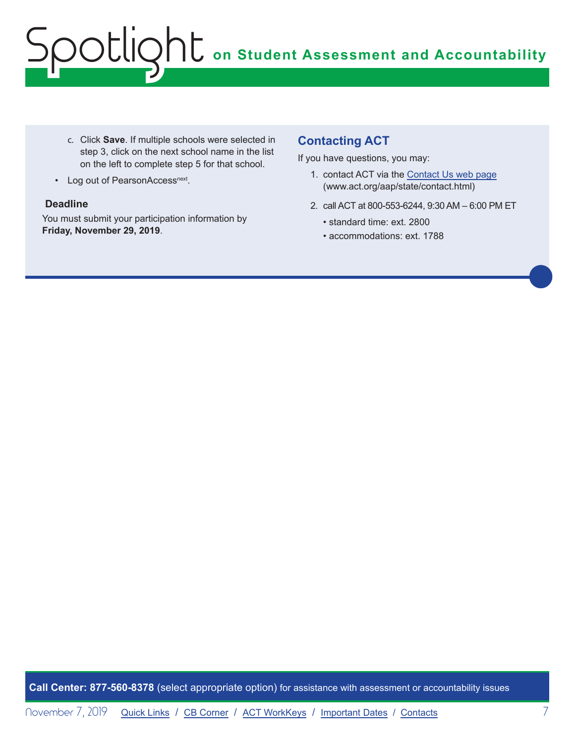# **on Student Assessment and Accountability** Spotlight

- c. Click **Save**. If multiple schools were selected in step 3, click on the next school name in the list on the left to complete step 5 for that school.
- Log out of PearsonAccess<sup>next</sup>.

#### **Deadline**

You must submit your participation information by **Friday, November 29, 2019**.

### **Contacting ACT**

If you have questions, you may:

- 1. contact ACT via the [Contact Us web page](http://www.act.org/aap/state/contact.html) ([www.act.org/aap/state/contact.html\)](https://www.act.org/aap/state/contact.html)
- 2. call ACT at 800-553-6244, 9:30 AM 6:00 PM ET
	- standard time: ext. 2800
	- accommodations: ext. 1788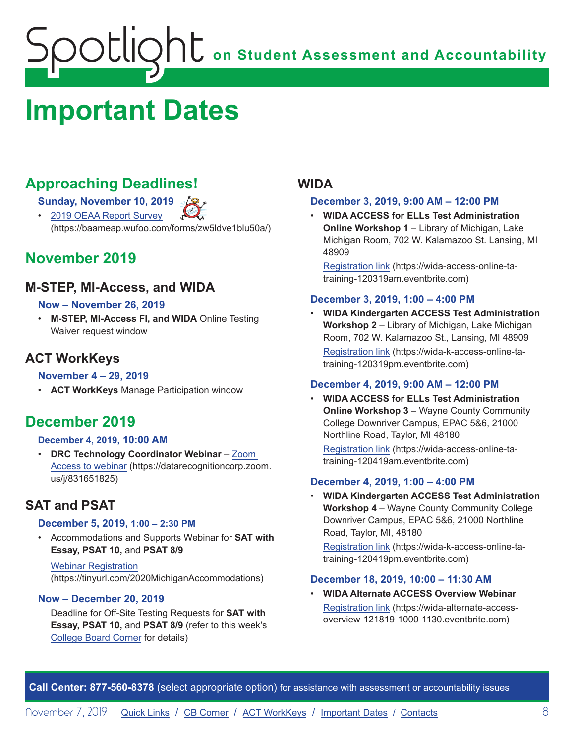# <span id="page-7-1"></span><span id="page-7-0"></span>**Important Dates**

# **Approaching Deadlines!**

**Sunday, November 10, 2019** 

• [2019 OEAA Report Survey](https://baameap.wufoo.com/forms/zw5ldve1blu50a/) (https://baameap.wufoo.com/forms/zw5ldve1blu50a/)

# **November 2019**

### **M-STEP, MI-Access, and WIDA**

#### **Now – November 26, 2019**

• **M-STEP, MI-Access FI, and WIDA** Online Testing Waiver request window

## **ACT WorkKeys**

#### **November 4 – 29, 2019**

• **ACT WorkKeys** Manage Participation window

## **December 2019**

#### **December 4, 2019, 10:00 AM**

• **DRC Technology Coordinator Webinar** – [Zoom](https://datarecognitioncorp.zoom.us/j/831651825)  [Access to webinar](https://datarecognitioncorp.zoom.us/j/831651825) (https://datarecognitioncorp.zoom. us/j/831651825)

## **SAT and PSAT**

#### **December 5, 2019, 1:00 – 2:30 PM**

• Accommodations and Supports Webinar for **SAT with Essay, PSAT 10,** and **PSAT 8/9**

Webinar [Registration](https://tinyurl.com/2020MichiganAccommodations) (https://tinyurl.com/2020MichiganAccommodations)

#### **Now – December 20, 2019**

Deadline for Off-Site Testing Requests for **SAT with Essay, PSAT 10,** and **PSAT 8/9** (refer to this week's [College Board Corner](#page-3-0) for details)

### **WIDA**

#### **December 3, 2019, 9:00 AM – 12:00 PM**

• **WIDA ACCESS for ELLs Test Administration Online Workshop 1** – Library of Michigan, Lake Michigan Room, 702 W. Kalamazoo St. Lansing, MI 48909

[Registration link](https://wida-access-online-ta-training-120319am.eventbrite.com) (https://wida-access-online-tatraining-120319am.eventbrite.com)

#### **December 3, 2019, 1:00 – 4:00 PM**

• **WIDA Kindergarten ACCESS Test Administration Workshop 2** – Library of Michigan, Lake Michigan Room, 702 W. Kalamazoo St., Lansing, MI 48909 [Registration link](https://wida-k-access-online-ta-training-120319pm.eventbrite.com) (https://wida-k-access-online-tatraining-120319pm.eventbrite.com)

#### **December 4, 2019, 9:00 AM – 12:00 PM**

• **WIDA ACCESS for ELLs Test Administration Online Workshop 3 – Wayne County Community** College Downriver Campus, EPAC 5&6, 21000 Northline Road, Taylor, MI 48180 [Registration link](https://wida-access-online-ta-training-120419am.eventbrite.com) (https://wida-access-online-tatraining-120419am.eventbrite.com)

#### **December 4, 2019, 1:00 – 4:00 PM**

• **WIDA Kindergarten ACCESS Test Administration Workshop 4** – Wayne County Community College Downriver Campus, EPAC 5&6, 21000 Northline Road, Taylor, MI, 48180 [Registration link](https://wida-k-access-online-ta-training-120419pm.eventbrite.com) (https://wida-k-access-online-tatraining-120419pm.eventbrite.com)

#### **December 18, 2019, 10:00 – 11:30 AM**

• **WIDA Alternate ACCESS Overview Webinar** [Registration link](https://wida-alternate-access-overview-121819-1000-1130.eventbrite.com) (https://wida-alternate-accessoverview-121819-1000-1130.eventbrite.com)